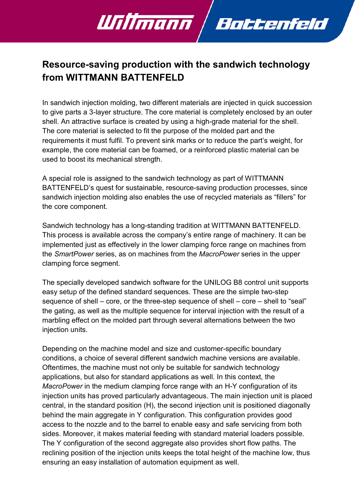## Resource-saving production with the sandwich technology from WITTMANN BATTENFELD

Battenfeld

Willmann

In sandwich injection molding, two different materials are injected in quick succession to give parts a 3-layer structure. The core material is completely enclosed by an outer shell. An attractive surface is created by using a high-grade material for the shell. The core material is selected to fit the purpose of the molded part and the requirements it must fulfil. To prevent sink marks or to reduce the part's weight, for example, the core material can be foamed, or a reinforced plastic material can be used to boost its mechanical strength.

A special role is assigned to the sandwich technology as part of WITTMANN BATTENFELD's quest for sustainable, resource-saving production processes, since sandwich injection molding also enables the use of recycled materials as "fillers" for the core component.

Sandwich technology has a long-standing tradition at WITTMANN BATTENFELD. This process is available across the company's entire range of machinery. It can be implemented just as effectively in the lower clamping force range on machines from the SmartPower series, as on machines from the MacroPower series in the upper clamping force segment.

The specially developed sandwich software for the UNILOG B8 control unit supports easy setup of the defined standard sequences. These are the simple two-step sequence of shell – core, or the three-step sequence of shell – core – shell to "seal" the gating, as well as the multiple sequence for interval injection with the result of a marbling effect on the molded part through several alternations between the two injection units.

Depending on the machine model and size and customer-specific boundary conditions, a choice of several different sandwich machine versions are available. Oftentimes, the machine must not only be suitable for sandwich technology applications, but also for standard applications as well. In this context, the MacroPower in the medium clamping force range with an H-Y configuration of its injection units has proved particularly advantageous. The main injection unit is placed central, in the standard position (H), the second injection unit is positioned diagonally behind the main aggregate in Y configuration. This configuration provides good access to the nozzle and to the barrel to enable easy and safe servicing from both sides. Moreover, it makes material feeding with standard material loaders possible. The Y configuration of the second aggregate also provides short flow paths. The reclining position of the injection units keeps the total height of the machine low, thus ensuring an easy installation of automation equipment as well.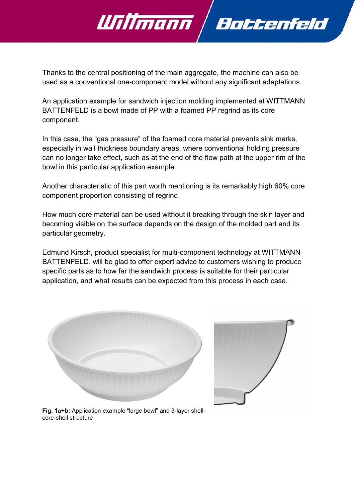

Willmann

An application example for sandwich injection molding implemented at WITTMANN BATTENFELD is a bowl made of PP with a foamed PP regrind as its core component.

In this case, the "gas pressure" of the foamed core material prevents sink marks, especially in wall thickness boundary areas, where conventional holding pressure can no longer take effect, such as at the end of the flow path at the upper rim of the bowl in this particular application example.

Another characteristic of this part worth mentioning is its remarkably high 60% core component proportion consisting of regrind.

How much core material can be used without it breaking through the skin layer and becoming visible on the surface depends on the design of the molded part and its particular geometry.

Edmund Kirsch, product specialist for multi-component technology at WITTMANN BATTENFELD, will be glad to offer expert advice to customers wishing to produce specific parts as to how far the sandwich process is suitable for their particular application, and what results can be expected from this process in each case.





Battenfeld

Fig. 1a+b: Application example "large bowl" and 3-layer shellcore-shell structure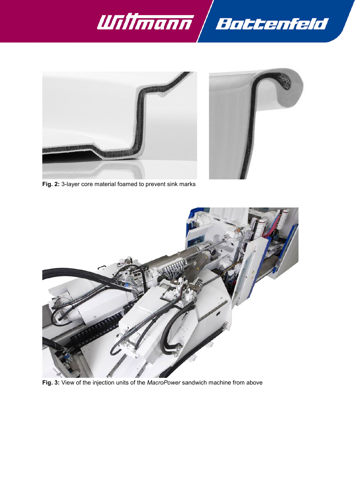







Fig. 3: View of the injection units of the MacroPower sandwich machine from above